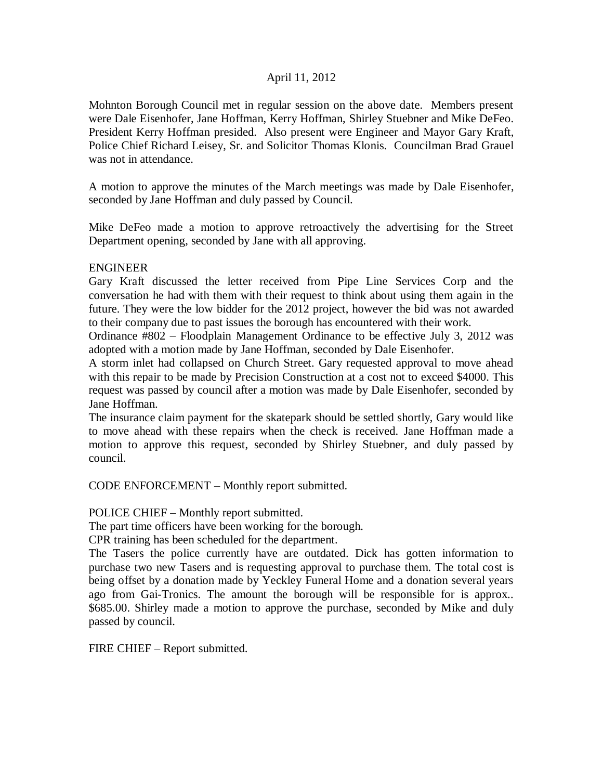# April 11, 2012

Mohnton Borough Council met in regular session on the above date. Members present were Dale Eisenhofer, Jane Hoffman, Kerry Hoffman, Shirley Stuebner and Mike DeFeo. President Kerry Hoffman presided. Also present were Engineer and Mayor Gary Kraft, Police Chief Richard Leisey, Sr. and Solicitor Thomas Klonis. Councilman Brad Grauel was not in attendance.

A motion to approve the minutes of the March meetings was made by Dale Eisenhofer, seconded by Jane Hoffman and duly passed by Council.

Mike DeFeo made a motion to approve retroactively the advertising for the Street Department opening, seconded by Jane with all approving.

# ENGINEER

Gary Kraft discussed the letter received from Pipe Line Services Corp and the conversation he had with them with their request to think about using them again in the future. They were the low bidder for the 2012 project, however the bid was not awarded to their company due to past issues the borough has encountered with their work.

Ordinance #802 – Floodplain Management Ordinance to be effective July 3, 2012 was adopted with a motion made by Jane Hoffman, seconded by Dale Eisenhofer.

A storm inlet had collapsed on Church Street. Gary requested approval to move ahead with this repair to be made by Precision Construction at a cost not to exceed \$4000. This request was passed by council after a motion was made by Dale Eisenhofer, seconded by Jane Hoffman.

The insurance claim payment for the skatepark should be settled shortly, Gary would like to move ahead with these repairs when the check is received. Jane Hoffman made a motion to approve this request, seconded by Shirley Stuebner, and duly passed by council.

CODE ENFORCEMENT – Monthly report submitted.

POLICE CHIEF – Monthly report submitted.

The part time officers have been working for the borough.

CPR training has been scheduled for the department.

The Tasers the police currently have are outdated. Dick has gotten information to purchase two new Tasers and is requesting approval to purchase them. The total cost is being offset by a donation made by Yeckley Funeral Home and a donation several years ago from Gai-Tronics. The amount the borough will be responsible for is approx.. \$685.00. Shirley made a motion to approve the purchase, seconded by Mike and duly passed by council.

FIRE CHIEF – Report submitted.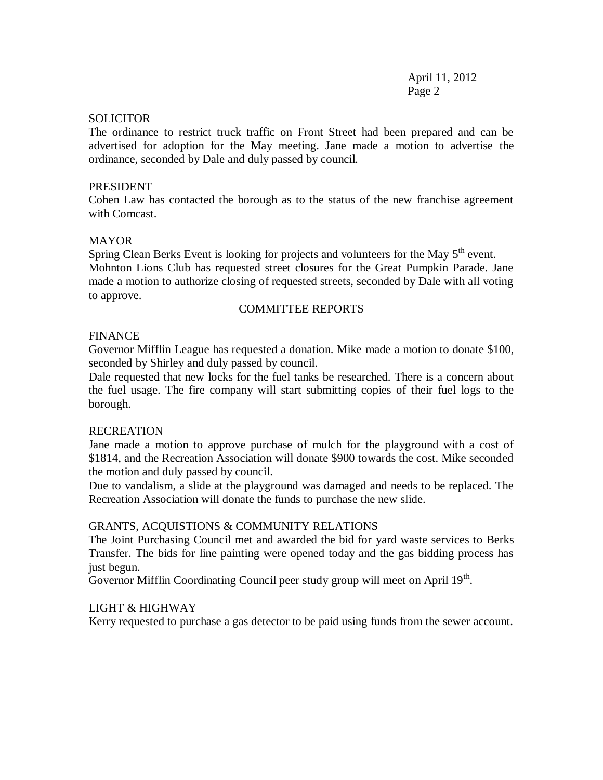April 11, 2012 Page 2

#### **SOLICITOR**

The ordinance to restrict truck traffic on Front Street had been prepared and can be advertised for adoption for the May meeting. Jane made a motion to advertise the ordinance, seconded by Dale and duly passed by council.

#### PRESIDENT

Cohen Law has contacted the borough as to the status of the new franchise agreement with Comcast.

## **MAYOR**

Spring Clean Berks Event is looking for projects and volunteers for the May  $5<sup>th</sup>$  event. Mohnton Lions Club has requested street closures for the Great Pumpkin Parade. Jane made a motion to authorize closing of requested streets, seconded by Dale with all voting to approve.

## COMMITTEE REPORTS

#### **FINANCE**

Governor Mifflin League has requested a donation. Mike made a motion to donate \$100, seconded by Shirley and duly passed by council.

Dale requested that new locks for the fuel tanks be researched. There is a concern about the fuel usage. The fire company will start submitting copies of their fuel logs to the borough.

#### RECREATION

Jane made a motion to approve purchase of mulch for the playground with a cost of \$1814, and the Recreation Association will donate \$900 towards the cost. Mike seconded the motion and duly passed by council.

Due to vandalism, a slide at the playground was damaged and needs to be replaced. The Recreation Association will donate the funds to purchase the new slide.

#### GRANTS, ACQUISTIONS & COMMUNITY RELATIONS

The Joint Purchasing Council met and awarded the bid for yard waste services to Berks Transfer. The bids for line painting were opened today and the gas bidding process has just begun.

Governor Mifflin Coordinating Council peer study group will meet on April  $19<sup>th</sup>$ .

### LIGHT & HIGHWAY

Kerry requested to purchase a gas detector to be paid using funds from the sewer account.